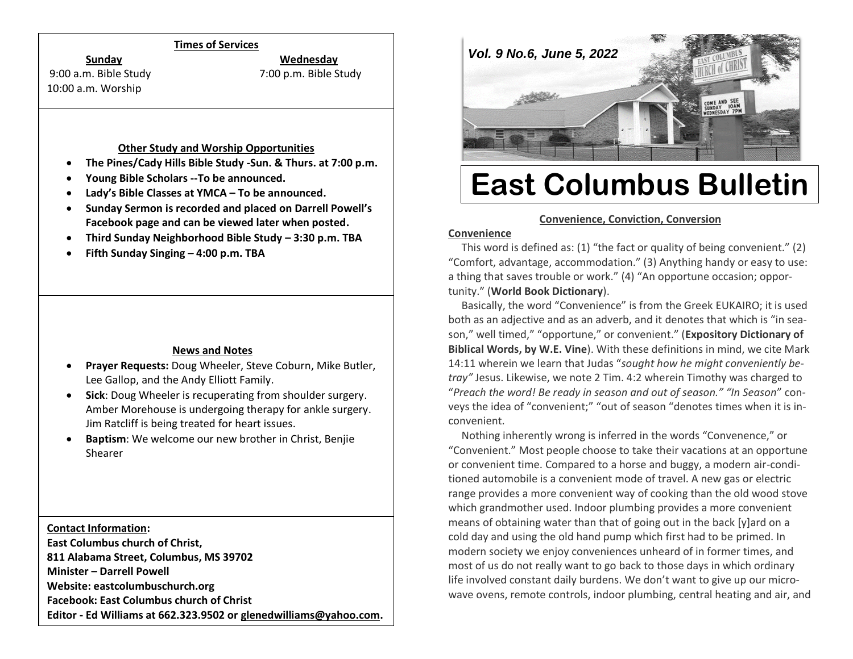## **Times of Services**

**Sunday Wednesday**

10:00 a.m. Worship

9:00 a.m. Bible Study 7:00 p.m. Bible Study

#### **Other Study and Worship Opportunities**

- **The Pines/Cady Hills Bible Study -Sun. & Thurs. at 7:00 p.m.**
- **Young Bible Scholars --To be announced.**
- **Lady's Bible Classes at YMCA – To be announced.**
- **Sunday Sermon is recorded and placed on Darrell Powell's Facebook page and can be viewed later when posted.**
- **Third Sunday Neighborhood Bible Study – 3:30 p.m. TBA**
- **Fifth Sunday Singing – 4:00 p.m. TBA**

## **News and Notes**

- **Prayer Requests:** Doug Wheeler, Steve Coburn, Mike Butler, Lee Gallop, and the Andy Elliott Family.
- **Sick**: Doug Wheeler is recuperating from shoulder surgery. Amber Morehouse is undergoing therapy for ankle surgery. Jim Ratcliff is being treated for heart issues.
- **Baptism**: We welcome our new brother in Christ, Benjie Shearer

# **Contact Information:**

**East Columbus church of Christ, 811 Alabama Street, Columbus, MS 39702 Minister – Darrell Powell Website: eastcolumbuschurch.org Facebook: East Columbus church of Christ Editor - Ed Williams at 662.323.9502 o[r glenedwilliams@yahoo.com.](mailto:glenedwilliams@yahoo.com)**



# **East Columbus Bulletin**

# **Convenience, Conviction, Conversion**

## **Convenience**

 This word is defined as: (1) "the fact or quality of being convenient." (2) "Comfort, advantage, accommodation." (3) Anything handy or easy to use: a thing that saves trouble or work." (4) "An opportune occasion; opportunity." (**World Book Dictionary**).

 Basically, the word "Convenience" is from the Greek EUKAIRO; it is used both as an adjective and as an adverb, and it denotes that which is "in season," well timed," "opportune," or convenient." (**Expository Dictionary of Biblical Words, by W.E. Vine**). With these definitions in mind, we cite Mark 14:11 wherein we learn that Judas "*sought how he might conveniently betray"* Jesus. Likewise, we note 2 Tim. 4:2 wherein Timothy was charged to "*Preach the word! Be ready in season and out of season." "In Season*" conveys the idea of "convenient;" "out of season "denotes times when it is inconvenient.

 Nothing inherently wrong is inferred in the words "Convenence," or "Convenient." Most people choose to take their vacations at an opportune or convenient time. Compared to a horse and buggy, a modern air-conditioned automobile is a convenient mode of travel. A new gas or electric range provides a more convenient way of cooking than the old wood stove which grandmother used. Indoor plumbing provides a more convenient means of obtaining water than that of going out in the back [y]ard on a cold day and using the old hand pump which first had to be primed. In modern society we enjoy conveniences unheard of in former times, and most of us do not really want to go back to those days in which ordinary life involved constant daily burdens. We don't want to give up our microwave ovens, remote controls, indoor plumbing, central heating and air, and